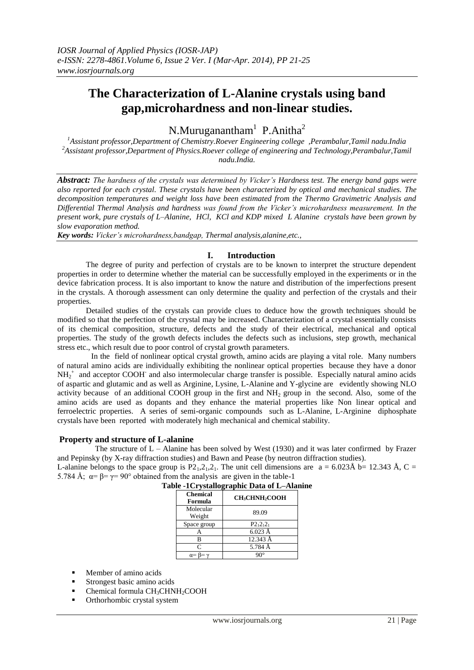# **The Characterization of L-Alanine crystals using band gap,microhardness and non-linear studies.**

N.Muruganantham<sup>1</sup> P.Anitha<sup>2</sup>

*<sup>1</sup>Assistant professor,Department of Chemistry.Roever Engineering college ,Perambalur,Tamil nadu.India <sup>2</sup>Assistant professor,Department of Physics.Roever college of engineering and Technology,Perambalur,Tamil nadu.India.*

*Abstract: The hardness of the crystals was determined by Vicker's Hardness test. The energy band gaps were also reported for each crystal. These crystals have been characterized by optical and mechanical studies. The decomposition temperatures and weight loss have been estimated from the Thermo Gravimetric Analysis and Differential Thermal Analysis and hardness was found from the Vicker's microhardness measurement. In the present work, pure crystals of L–Alanine, HCl, KCl and KDP mixed L Alanine crystals have been grown by slow evaporation method.*

*Key words: Vicker's microhardness,bandgap, Thermal analysis,alanine,etc.,*

## **I. Introduction**

The degree of purity and perfection of crystals are to be known to interpret the structure dependent properties in order to determine whether the material can be successfully employed in the experiments or in the device fabrication process. It is also important to know the nature and distribution of the imperfections present in the crystals. A thorough assessment can only determine the quality and perfection of the crystals and their properties.

Detailed studies of the crystals can provide clues to deduce how the growth techniques should be modified so that the perfection of the crystal may be increased. Characterization of a crystal essentially consists of its chemical composition, structure, defects and the study of their electrical, mechanical and optical properties. The study of the growth defects includes the defects such as inclusions, step growth, mechanical stress etc., which result due to poor control of crystal growth parameters.

 In the field of nonlinear optical crystal growth, amino acids are playing a vital role. Many numbers of natural amino acids are individually exhibiting the nonlinear optical properties because they have a donor NH<sub>2</sub><sup>+</sup> and acceptor COOH and also intermolecular charge transfer is possible. Especially natural amino acids of aspartic and glutamic and as well as Arginine, Lysine, L-Alanine and Y-glycine are evidently showing NLO activity because of an additional COOH group in the first and  $NH<sub>2</sub>$  group in the second. Also, some of the amino acids are used as dopants and they enhance the material properties like Non linear optical and ferroelectric properties. A series of semi-organic compounds such as L-Alanine, L-Arginine diphosphate crystals have been reported with moderately high mechanical and chemical stability.

# **Property and structure of L-alanine**

The structure of  $L -$  Alanine has been solved by West (1930) and it was later confirmed by Frazer and Pepinsky (by X-ray diffraction studies) and Bawn and Pease (by neutron diffraction studies).

L-alanine belongs to the space group is P2<sub>1</sub>, 2<sub>1</sub>, 2<sub>1</sub>. The unit cell dimensions are a = 6.023Å b= 12.343 Å, C = 5.784 Å;  $\alpha = \beta = \gamma = 90^{\circ}$  obtained from the analysis are given in the table-1

| <b>Chemical</b><br>Formula | <b>CH3CHNH2COOH</b> |
|----------------------------|---------------------|
| Molecular<br>Weight        | 89.09               |
| Space group                | $P2_12_12_1$        |
|                            | $6.023$ Å           |
| в                          | 12.343 Å            |
| $\mathsf{C}$               | 5.784 Å             |
|                            |                     |

|  | $\frac{1}{2}$ and $\frac{1}{2}$ and $\frac{1}{2}$ are $\frac{1}{2}$ . |                                             |
|--|-----------------------------------------------------------------------|---------------------------------------------|
|  |                                                                       | Table -1 Crystallographic Data of L-Alanine |

- Member of amino acids
- **Strongest basic amino acids**
- Chemical formula CH<sub>3</sub>CHNH<sub>2</sub>COOH
- Orthorhombic crystal system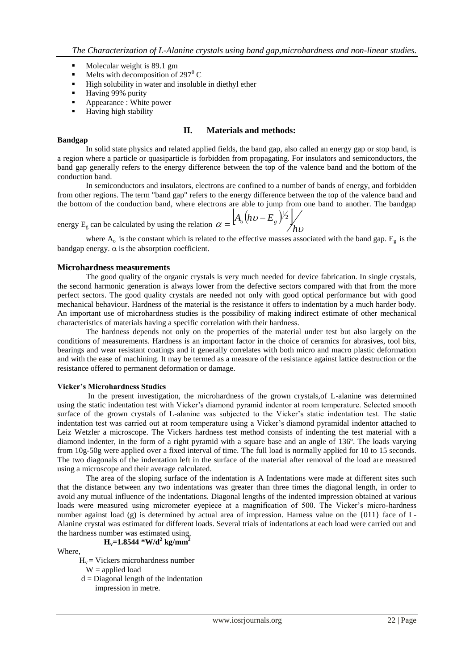- $\blacksquare$  Molecular weight is 89.1 gm
- Melts with decomposition of 297 $\rm ^{0}$  C
- **High solubility in water and insoluble in diethyl ether**
- **Having 99% purity**
- Appearance : White power
- **Having high stability**

## **II. Materials and methods:**

## **Bandgap**

In [solid state physics](http://en.wikipedia.org/wiki/Solid_state_physics) and related applied fields, the band gap, also called an energy gap or stop band, is a region where a particle or [quasiparticle](http://en.wikipedia.org/wiki/Quasiparticle) is forbidden from propagating. For [insulators](http://en.wikipedia.org/wiki/Electrical_insulation) and [semiconductors,](http://en.wikipedia.org/wiki/Semiconductor) the band gap generally refers to the energy difference between the top of the [valence band](http://en.wikipedia.org/wiki/Valence_band) and the bottom of the [conduction band.](http://en.wikipedia.org/wiki/Conduction_band)

In semiconductors and insulators, [electrons](http://en.wikipedia.org/wiki/Electron) are confined to a number of [bands](http://en.wikipedia.org/wiki/Electronic_band_structure) of energy, and forbidden from other regions. The term "band gap" refers to the energy difference between the top of the [valence band](http://en.wikipedia.org/wiki/Valence_band) and the bottom of the [conduction band,](http://en.wikipedia.org/wiki/Conduction_band) where electrons are able to jump from one band to another. The bandgap

energy E<sub>g</sub> can be calculated by using the relation 
$$
\alpha = \left[A_o(hv - E_g)^{1/2}\right] / h v
$$

where  $A_0$  is the constant which is related to the effective masses associated with the band gap.  $E_g$  is the bandgap energy.  $\alpha$  is the absorption coefficient.

## **Microhardness measurements**

The good quality of the organic crystals is very much needed for device fabrication. In single crystals, the second harmonic generation is always lower from the defective sectors compared with that from the more perfect sectors. The good quality crystals are needed not only with good optical performance but with good mechanical behaviour. Hardness of the material is the resistance it offers to indentation by a much harder body. An important use of microhardness studies is the possibility of making indirect estimate of other mechanical characteristics of materials having a specific correlation with their hardness.

The hardness depends not only on the properties of the material under test but also largely on the conditions of measurements. Hardness is an important factor in the choice of ceramics for abrasives, tool bits, bearings and wear resistant coatings and it generally correlates with both micro and macro plastic deformation and with the ease of machining. It may be termed as a measure of the resistance against lattice destruction or the resistance offered to permanent deformation or damage.

## **Vicker's Microhardness Studies**

In the present investigation, the microhardness of the grown crystals,of L-alanine was determined using the static indentation test with Vicker's diamond pyramid indentor at room temperature. Selected smooth surface of the grown crystals of L-alanine was subjected to the Vicker's static indentation test. The static indentation test was carried out at room temperature using a Vicker's diamond pyramidal indentor attached to Leiz Wetzler a microscope. The Vickers hardness test method consists of indenting the test material with a diamond indenter, in the form of a right pyramid with a square base and an angle of 136º. The loads varying from 10g-50g were applied over a fixed interval of time. The full load is normally applied for 10 to 15 seconds. The two diagonals of the indentation left in the surface of the material after removal of the load are measured using a microscope and their average calculated.

The area of the sloping surface of the indentation is A Indentations were made at different sites such that the distance between any two indentations was greater than three times the diagonal length, in order to avoid any mutual influence of the indentations. Diagonal lengths of the indented impression obtained at various loads were measured using micrometer eyepiece at a magnification of 500. The Vicker's micro-hardness number against load (g) is determined by actual area of impression. Harness value on the {011} face of L-Alanine crystal was estimated for different loads. Several trials of indentations at each load were carried out and the hardness number was estimated using,

$$
H_v=1.8544*W/d^2
$$
 kg/mm<sup>2</sup>

Where,

- $H_v =$  Vickers microhardness number  $W =$ applied load
- $d = Diagonal length of the indentation$ impression in metre.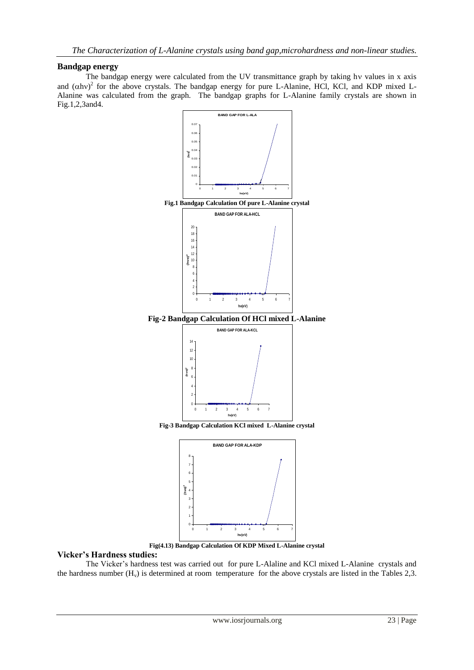# **Bandgap energy**

The bandgap energy were calculated from the UV transmittance graph by taking hv values in x axis and  $(\alpha h v)^2$  for the above crystals. The bandgap energy for pure L-Alanine, HCl, KCl, and KDP mixed L-Alanine was calculated from the graph. The bandgap graphs for L-Alanine family crystals are shown in Fig.1,2,3and4.



**Fig(4.13) Bandgap Calculation Of KDP Mixed L-Alanine crystal**

**hv(eV)**

# **Vicker's Hardness studies:**

The Vicker's hardness test was carried out for pure L-Alaline and KCl mixed L-Alanine crystals and the hardness number  $(H_v)$  is determined at room temperature for the above crystals are listed in the Tables 2,3.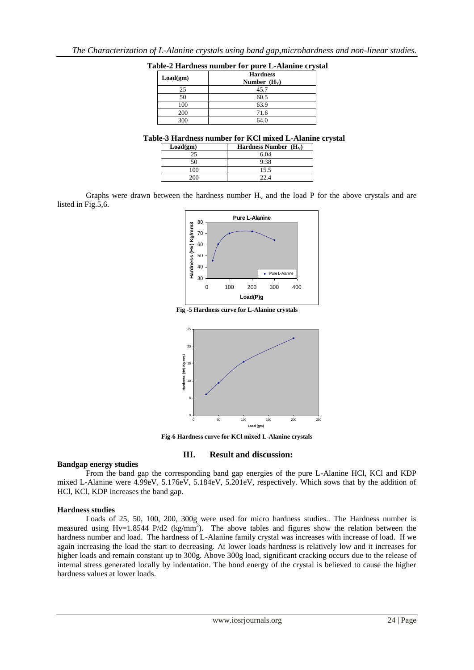| Load(gm) | <b>Hardness</b><br>Number $(H_V)$ |
|----------|-----------------------------------|
| 25       | 45.7                              |
| 50       | 60.5                              |
| 100      | 63.9                              |
| 200      | 71.6                              |
| 300      | 64.0                              |

|  |  | Table-2 Hardness number for pure L-Alanine crystal |  |
|--|--|----------------------------------------------------|--|
|  |  |                                                    |  |

## **Table-3 Hardness number for KCl mixed L-Alanine crystal**

| Load(gm) | Hardness Number $(H_v)$ |
|----------|-------------------------|
|          | 6.04                    |
|          |                         |
| 00       | 15.5                    |
|          |                         |

Graphs were drawn between the hardness number  $H<sub>v</sub>$  and the load P for the above crystals and are listed in Fig.5,6.



**Fig -5 Hardness curve for L-Alanine crystals**



**Fig-6 Hardness curve for KCl mixed L-Alanine crystals**

#### **III. Result and discussion:**

#### **Bandgap energy studies**

From the band gap the corresponding band gap energies of the pure L-Alanine HCl, KCl and KDP mixed L-Alanine were 4.99eV, 5.176eV, 5.184eV, 5.201eV, respectively. Which sows that by the addition of HCl, KCl, KDP increases the band gap.

## **Hardness studies**

Loads of 25, 50, 100, 200, 300g were used for micro hardness studies.. The Hardness number is measured using Hv=1.8544 P/d2 (kg/mm<sup>2</sup>). The above tables and figures show the relation between the hardness number and load. The hardness of L-Alanine family crystal was increases with increase of load. If we again increasing the load the start to decreasing. At lower loads hardness is relatively low and it increases for higher loads and remain constant up to 300g. Above 300g load, significant cracking occurs due to the release of internal stress generated locally by indentation. The bond energy of the crystal is believed to cause the higher hardness values at lower loads.